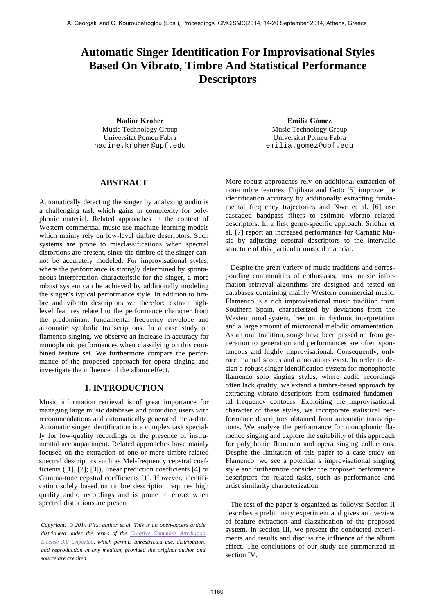# **Automatic Singer Identification For Improvisational Styles Based On Vibrato, Timbre And Statistical Performance Descriptors**

**Nadine Kroher Emilia Gómez** Music Technology Group Universitat Pomeu Fabra nadine.kroher@upf.edu

Music Technology Group Universitat Pomeu Fabra emilia.gomez@upf.edu

# **ABSTRACT**

Automatically detecting the singer by analyzing audio is a challenging task which gains in complexity for polyphonic material. Related approaches in the context of Western commercial music use machine learning models which mainly rely on low-level timbre descriptors. Such systems are prone to misclassifications when spectral distortions are present, since the timbre of the singer cannot be accurately modeled. For improvisational styles, where the performance is strongly determined by spontaneous interpretation characteristic for the singer, a more robust system can be achieved by additionally modeling the singer's typical performance style. In addition to timbre and vibrato descriptors we therefore extract highlevel features related to the performance character from the predominant fundamental frequency envelope and automatic symbolic transcriptions. In a case study on flamenco singing, we observe an increase in accuracy for monophonic performances when classifying on this combined feature set. We furthermore compare the performance of the proposed approach for opera singing and investigate the influence of the album effect.

## **1. INTRODUCTION**

Music information retrieval is of great importance for managing large music databases and providing users with recommendations and automatically generated meta-data. Automatic singer identification is a complex task specially for low-quality recordings or the presence of instrumental accompaniment. Related approaches have mainly focused on the extraction of one or more timbre-related spectral descriptors such as Mel-frequency cepstral coefficients ([1], [2]; [3]), linear prediction coefficients [4] or Gamma-tone cepstral coefficients [1]. However, identification solely based on timbre description requires high quality audio recordings and is prone to errors when spectral distortions are present.

*Copyright: © 2014 First author et al. This is an open-access article distributed under the terms of the Creative Commons Attribution License 3.0 Unported, which permits unrestricted use, distribution, and reproduction in any medium, provided the original author and source are credited.*

More robust approaches rely on additional extraction of non-timbre features: Fujihara and Goto [5] improve the identification accuracy by additionally extracting fundamental frequency trajectories and Nwe et al. [6] use cascaded bandpass filters to estimate vibrato related descriptors. In a first genre-specific approach, Sridhar et al. [7] report an increased performance for Carnatic Music by adjusting cepstral descriptors to the intervalic structure of this particular musical material.

Despite the great variety of music traditions and corresponding communities of enthusiasts, most music information retrieval algorithms are designed and tested on databases containing mainly Western commercial music. Flamenco is a rich improvisational music tradition from Southern Spain, characterized by deviations from the Western tonal system, freedom in rhythmic interpretation and a large amount of microtonal melodic ornamentation. As an oral tradition, songs have been passed on from generation to generation and performances are often spontaneous and highly improvisational. Consequently, only rare manual scores and annotations exist. In order to design a robust singer identification system for monophonic flamenco solo singing styles, where audio recordings often lack quality, we extend a timbre-based approach by extracting vibrato descriptors from estimated fundamental frequency contours. Exploiting the improvisational character of these styles, we incorporate statistical performance descriptors obtained from automatic transcriptions. We analyze the performance for monophonic flamenco singing and explore the suitability of this approach for polyphonic flamenco and opera singing collections. Despite the limitation of this paper to a case study on Flamenco, we see a potential s improvisational singing style and furthermore consider the proposed performance descriptors for related tasks, such as performance and artist similarity characterization.

The rest of the paper is organized as follows: Section II describes a preliminary experiment and gives an oveview of feature extraction and classification of the proposed system. In section III, we present the conducted experiments and results and discuss the influence of the album effect. The conclusions of our study are summarized in section IV.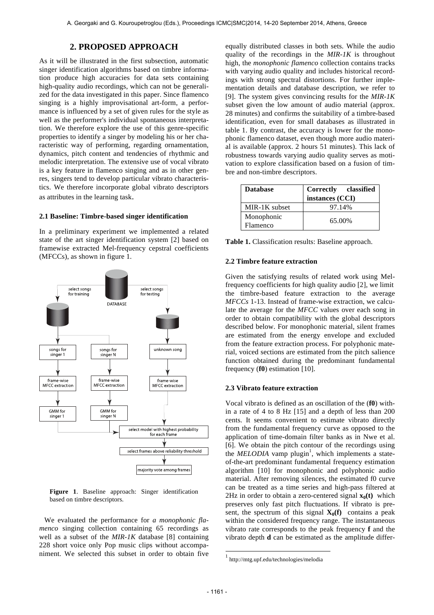# **2. PROPOSED APPROACH**

As it will be illustrated in the first subsection, automatic singer identification algorithms based on timbre information produce high accuracies for data sets containing high-quality audio recordings, which can not be generalized for the data investigated in this paper. Since flamenco singing is a highly improvisational art-form, a performance is influenced by a set of given rules for the style as well as the performer's individual spontaneous interpretation. We therefore explore the use of this genre-specific properties to identify a singer by modeling his or her characteristic way of performing, regarding ornamentation, dynamics, pitch content and tendencies of rhythmic and melodic interpretation. The extensive use of vocal vibrato is a key feature in flamenco singing and as in other genres, singers tend to develop particular vibrato characteristics. We therefore incorporate global vibrato descriptors as attributes in the learning task.

#### **2.1 Baseline: Timbre-based singer identification**

In a preliminary experiment we implemented a related state of the art singer identification system [2] based on framewise extracted Mel-frequency cepstral coefficients (MFCCs), as shown in figure 1.



**Figure 1**. Baseline approach: Singer identification based on timbre descriptors.

We evaluated the performance for *a monophonic flamenco* singing collection containing 65 recordings as well as a subset of the *MIR-1K* database [8] containing 228 short voice only Pop music clips without accompaniment. We selected this subset in order to obtain five equally distributed classes in both sets. While the audio quality of the recordings in the *MIR-1K* is throughout high, the *monophonic flamenco* collection contains tracks with varying audio quality and includes historical recordings with strong spectral distortions. For further implementation details and database description, we refer to [9]. The system gives convincing results for the *MIR-1K* subset given the low amount of audio material (approx. 28 minutes) and confirms the suitability of a timbre-based identification, even for small databases as illustrated in table 1. By contrast, the accuracy is lower for the monophonic flamenco dataset, even though more audio material is available (approx. 2 hours 51 minutes). This lack of robustness towards varying audio quality serves as motivation to explore classification based on a fusion of timbre and non-timbre descriptors.

| <b>Database</b>        | Correctly classified<br>instances (CCI) |  |
|------------------------|-----------------------------------------|--|
| MIR-1K subset          | 97.14%                                  |  |
| Monophonic<br>Flamenco | 65.00%                                  |  |

**Table 1.** Classification results: Baseline approach.

#### **2.2 Timbre feature extraction**

Given the satisfying results of related work using Melfrequency coefficients for high quality audio [2], we limit the timbre-based feature extraction to the average *MFCCs* 1-13. Instead of frame-wise extraction, we calculate the average for the *MFCC* values over each song in order to obtain compatibility with the global descriptors described below. For monophonic material, silent frames are estimated from the energy envelope and excluded from the feature extraction process. For polyphonic material, voiced sections are estimated from the pitch salience function obtained during the predominant fundamental frequency (**f0**) estimation [10].

## **2.3 Vibrato feature extraction**

Vocal vibrato is defined as an oscillation of the (**f0**) within a rate of 4 to 8 Hz [15] and a depth of less than 200 cents. It seems convenient to estimate vibrato directly from the fundamental frequency curve as opposed to the application of time-domain filter banks as in Nwe et al. [6]. We obtain the pitch contour of the recordings using the *MELODIA* vamp plugin<sup>1</sup>, which implements a stateof-the-art predominant fundamental frequency estimation algorithm [10] for monophonic and polyphonic audio material. After removing silences, the estimated f0 curve can be treated as a time series and high-pass filtered at 2Hz in order to obtain a zero-centered signal  $\mathbf{x}_0(t)$  which preserves only fast pitch fluctuations. If vibrato is present, the spectrum of this signal  $X_0(f)$  contains a peak within the considered frequency range. The instantaneous vibrato rate corresponds to the peak frequency **f** and the vibrato depth **d** can be estimated as the amplitude differ-

l

<sup>1</sup> http://mtg.upf.edu/technologies/melodia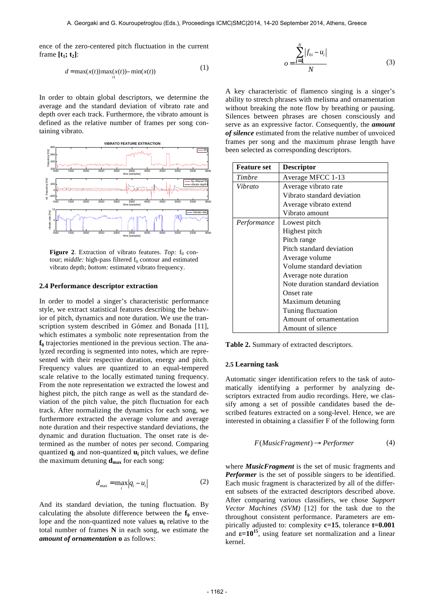ence of the zero-centered pitch fluctuation in the current frame  $[t_1; t_2]$ :

$$
d = \max(x(t)) \max_{t} (x(t)) - \min(x(t))
$$
 (1)

In order to obtain global descriptors, we determine the average and the standard deviation of vibrato rate and depth over each track. Furthermore, the vibrato amount is defined as the relative number of frames per song containing vibrato.



**Figure 2.** Extraction of vibrato features. *Top:*  $f_0$  contour; *middle*: high-pass filtered f<sub>0</sub> contour and estimated vibrato depth; *bottom:* estimated vibrato frequency.

## **2.4 Performance descriptor extraction**

In order to model a singer's characteristic performance style, we extract statistical features describing the behavior of pitch, dynamics and note duration. We use the transcription system described in Gómez and Bonada [11], which estimates a symbolic note representation from the  $f_0$  trajectories mentioned in the previous section. The analyzed recording is segmented into notes, which are represented with their respective duration, energy and pitch. Frequency values are quantized to an equal-tempered scale relative to the locally estimated tuning frequency. From the note representation we extracted the lowest and highest pitch, the pitch range as well as the standard deviation of the pitch value, the pitch fluctuation for each track. After normalizing the dynamics for each song, we furthermore extracted the average volume and average note duration and their respective standard deviations, the dynamic and duration fluctuation. The onset rate is determined as the number of notes per second. Comparing quantized **qi** and non-quantized **ui** pitch values, we define the maximum detuning  $\mathbf{d}_{\text{max}}$  for each song:

$$
d_{\max} = \max_{i} |q_i - u_i| \tag{2}
$$

And its standard deviation, the tuning fluctuation. By calculating the absolute difference between the  $f_0$  envelope and the non-quantized note values **ui** relative to the total number of frames **N** in each song, we estimate the *amount of ornamentation* **o** as follows:

$$
o = \frac{\sum_{i=1}^{N} |f_{0i} - u_i|}{N}
$$
 (3)

A key characteristic of flamenco singing is a singer's ability to stretch phrases with melisma and ornamentation without breaking the note flow by breathing or pausing. Silences between phrases are chosen consciously and serve as an expressive factor. Consequently, the *amount of silence* estimated from the relative number of unvoiced frames per song and the maximum phrase length have been selected as corresponding descriptors.

| <b>Feature set</b> | <b>Descriptor</b>                |  |
|--------------------|----------------------------------|--|
| Timbre             | Average MFCC 1-13                |  |
| Vibrato            | Average vibrato rate             |  |
|                    | Vibrato standard deviation       |  |
|                    | Average vibrato extend           |  |
|                    | Vibrato amount                   |  |
| Performance        | Lowest pitch                     |  |
|                    | Highest pitch                    |  |
|                    | Pitch range                      |  |
|                    | Pitch standard deviation         |  |
|                    | Average volume                   |  |
|                    | Volume standard deviation        |  |
|                    | Average note duration            |  |
|                    | Note duration standard deviation |  |
|                    | Onset rate                       |  |
|                    | Maximum detuning                 |  |
|                    | Tuning fluctuation               |  |
|                    | Amount of ornamentation          |  |
|                    | Amount of silence                |  |

**Table 2.** Summary of extracted descriptors.

#### **2.5 Learning task**

Automatic singer identification refers to the task of automatically identifying a performer by analyzing descriptors extracted from audio recordings. Here, we classify among a set of possible candidates based the described features extracted on a song-level. Hence, we are interested in obtaining a classifier F of the following form

$$
F(MusicFragment) \rightarrow Performance \qquad (4)
$$

where *MusicFragment* is the set of music fragments and *Performer* is the set of possible singers to be identified. Each music fragment is characterized by all of the different subsets of the extracted descriptors described above. After comparing various classifiers, we chose *Support Vector Machines (SVM)* [12] for the task due to the throughout consistent performance. Parameters are empirically adjusted to: complexity **c=15**, tolerance **t=0.001** and  $\epsilon = 10^{15}$ , using feature set normalization and a linear kernel.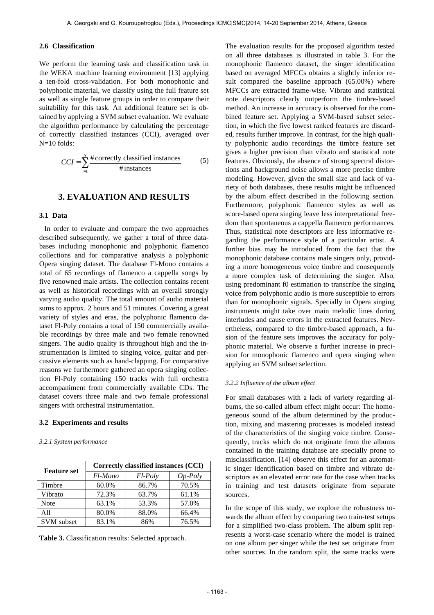## **2.6 Classification**

We perform the learning task and classification task in the WEKA machine learning environment [13] applying a ten-fold cross-validation. For both monophonic and polyphonic material, we classify using the full feature set as well as single feature groups in order to compare their suitability for this task. An additional feature set is obtained by applying a SVM subset evaluation. We evaluate the algorithm performance by calculating the percentage of correctly classified instances (CCI), averaged over N=10 folds:

$$
CCI = \sum_{i=1}^{N} \frac{\text{\#correctly classified instances}}{\text{\# instances}}
$$
 (5)

## **3. EVALUATION AND RESULTS**

## **3.1 Data**

In order to evaluate and compare the two approaches described subsequently, we gather a total of three databases including monophonic and polyphonic flamenco collections and for comparative analysis a polyphonic Opera singing dataset. The database Fl-Mono contains a total of 65 recordings of flamenco a cappella songs by five renowned male artists. The collection contains recent as well as historical recordings with an overall strongly varying audio quality. The total amount of audio material sums to approx. 2 hours and 51 minutes. Covering a great variety of styles and eras, the polyphonic flamenco dataset Fl-Poly contains a total of 150 commercially available recordings by three male and two female renowned singers. The audio quality is throughout high and the instrumentation is limited to singing voice, guitar and percussive elements such as hand-clapping. For comparative reasons we furthermore gathered an opera singing collection Fl-Poly containing 150 tracks with full orchestra accompaniment from commercially available CDs. The dataset covers three male and two female professional singers with orchestral instrumentation.

## **3.2 Experiments and results**

#### *3.2.1 System performance*

| <b>Feature set</b> | Correctly classified instances (CCI) |         |           |  |
|--------------------|--------------------------------------|---------|-----------|--|
|                    | Fl-Mono                              | Fl-Poly | $Op-Poly$ |  |
| Timbre             | 60.0%                                | 86.7%   | 70.5%     |  |
| Vibrato            | 72.3%                                | 63.7%   | 61.1%     |  |
| Note               | 63.1%                                | 53.3%   | 57.0%     |  |
| A11                | 80.0%                                | 88.0%   | 66.4%     |  |
| <b>SVM</b> subset  | 83.1%                                | 86%     | 76.5%     |  |

**Table 3.** Classification results: Selected approach.

The evaluation results for the proposed algorithm tested on all three databases is illustrated in table 3. For the monophonic flamenco dataset, the singer identification based on averaged MFCCs obtains a slightly inferior result compared the baseline approach (65.00%) where MFCCs are extracted frame-wise. Vibrato and statistical note descriptors clearly outperform the timbre-based method. An increase in accuracy is observed for the combined feature set. Applying a SVM-based subset selection, in which the five lowest ranked features are discarded, results further improve. In contrast, for the high quality polyphonic audio recordings the timbre feature set gives a higher precision than vibrato and statistical note features. Obviously, the absence of strong spectral distortions and background noise allows a more precise timbre modeling. However, given the small size and lack of variety of both databases, these results might be influenced by the album effect described in the following section. Furthermore, polyphonic flamenco styles as well as score-based opera singing leave less interpretational freedom than spontaneous a cappella flamenco performances. Thus, statistical note descriptors are less informative regarding the performance style of a particular artist. A further bias may be introduced from the fact that the monophonic database contains male singers only, providing a more homogeneous voice timbre and consequently a more complex task of determining the singer. Also, using predominant f0 estimation to transcribe the singing voice from polyphonic audio is more susceptible to errors than for monophonic signals. Specially in Opera singing instruments might take over main melodic lines during interludes and cause errors in the extracted features. Nevertheless, compared to the timbre-based approach, a fusion of the feature sets improves the accuracy for polyphonic material. We observe a further increase in precision for monophonic flamenco and opera singing when applying an SVM subset selection.

#### *3.2.2 Influence of the album effect*

For small databases with a lack of variety regarding albums, the so-called album effect might occur: The homogeneous sound of the album determined by the production, mixing and mastering processes is modeled instead of the characteristics of the singing voice timbre. Consequently, tracks which do not originate from the albums contained in the training database are specially prone to misclassification. [14] observe this effect for an automatic singer identification based on timbre and vibrato descriptors as an elevated error rate for the case when tracks in training and test datasets originate from separate sources.

In the scope of this study, we explore the robustness towards the album effect by comparing two train-test setups for a simplified two-class problem. The album split represents a worst-case scenario where the model is trained on one album per singer while the test set originate from other sources. In the random split, the same tracks were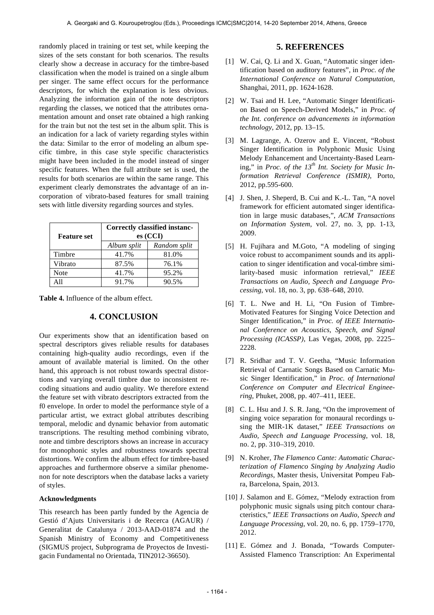randomly placed in training or test set, while keeping the sizes of the sets constant for both scenarios. The results clearly show a decrease in accuracy for the timbre-based classification when the model is trained on a single album per singer. The same effect occurs for the performance descriptors, for which the explanation is less obvious. Analyzing the information gain of the note descriptors regarding the classes, we noticed that the attributes ornamentation amount and onset rate obtained a high ranking for the train but not the test set in the album split. This is an indication for a lack of variety regarding styles within the data: Similar to the error of modeling an album specific timbre, in this case style specific characteristics might have been included in the model instead of singer specific features. When the full attribute set is used, the results for both scenarios are within the same range. This experiment clearly demonstrates the advantage of an incorporation of vibrato-based features for small training sets with little diversity regarding sources and styles.

| <b>Feature set</b> | Correctly classified instanc-<br>es (CCI) |              |  |
|--------------------|-------------------------------------------|--------------|--|
|                    | Album split                               | Random split |  |
| Timbre             | 41.7%                                     | 81.0%        |  |
| Vibrato            | 87.5%                                     | 76.1%        |  |
| Note               | 41.7%                                     | 95.2%        |  |
| A 11               | 91.7%                                     | 90.5%        |  |

**Table 4.** Influence of the album effect.

# **4. CONCLUSION**

Our experiments show that an identification based on spectral descriptors gives reliable results for databases containing high-quality audio recordings, even if the amount of available material is limited. On the other hand, this approach is not robust towards spectral distortions and varying overall timbre due to inconsistent recoding situations and audio quality. We therefore extend the feature set with vibrato descriptors extracted from the f0 envelope. In order to model the performance style of a particular artist, we extract global attributes describing temporal, melodic and dynamic behavior from automatic transcriptions. The resulting method combining vibrato, note and timbre descriptors shows an increase in accuracy for monophonic styles and robustness towards spectral distortions. We confirm the album effect for timbre-based approaches and furthermore observe a similar phenomenon for note descriptors when the database lacks a variety of styles.

## **Acknowledgments**

This research has been partly funded by the Agencia de Gestió d'Ajuts Universitaris i de Recerca (AGAUR) / Generalitat de Catalunya / 2013-AAD-01874 and the Spanish Ministry of Economy and Competitiveness (SIGMUS project, Subprograma de Proyectos de Investigacin Fundamental no Orientada, TIN2012-36650).

## **5. REFERENCES**

- [1] W. Cai, O. Li and X. Guan, "Automatic singer identification based on auditory features", in *Proc. of the International Conference on Natural Computation*, Shanghai, 2011, pp. 1624-1628.
- [2] W. Tsai and H. Lee, "Automatic Singer Identification Based on Speech-Derived Models," in *Proc. of the Int. conference on advancements in information technology*, 2012, pp. 13–15.
- [3] M. Lagrange, A. Ozerov and E. Vincent, "Robust Singer Identification in Polyphonic Music Using Melody Enhancement and Uncertainty-Based Learning," in *Proc. of the 13th Int. Society for Music Information Retrieval Conference (ISMIR)*, Porto, 2012, pp.595-600.
- [4] J. Shen, J. Sheperd, B. Cui and K.-L. Tan, "A novel framework for efficient automated singer identification in large music databases,", *ACM Transactions on Information System*, vol. 27, no. 3, pp. 1-13, 2009.
- [5] H. Fujihara and M.Goto, "A modeling of singing voice robust to accompaniment sounds and its application to singer identification and vocal-timbre similarity-based music information retrieval," *IEEE Transactions on Audio, Speech and Language Processing*, vol. 18, no. 3, pp. 638–648, 2010.
- [6] T. L. Nwe and H. Li, "On Fusion of Timbre-Motivated Features for Singing Voice Detection and Singer Identification," in *Proc. of IEEE International Conference on Acoustics, Speech, and Signal Processing (ICASSP)*, Las Vegas, 2008, pp. 2225– 2228.
- [7] R. Sridhar and T. V. Geetha, "Music Information Retrieval of Carnatic Songs Based on Carnatic Music Singer Identification," in *Proc. of International Conference on Computer and Electrical Engineering*, Phuket, 2008, pp. 407–411, IEEE.
- [8] C. L. Hsu and J. S. R. Jang, "On the improvement of singing voice separation for monaural recordings using the MIR-1K dataset," *IEEE Transactions on Audio, Speech and Language Processing*, vol. 18, no. 2, pp. 310–319, 2010.
- [9] N. Kroher, *The Flamenco Cante: Automatic Characterization of Flamenco Singing by Analyzing Audio Recordings*, Master thesis, Universitat Pompeu Fabra, Barcelona, Spain, 2013.
- [10] J. Salamon and E. Gómez, "Melody extraction from polyphonic music signals using pitch contour characteristics," *IEEE Transactions on Audio, Speech and Language Processing*, vol. 20, no. 6, pp. 1759–1770, 2012.
- [11] E. Gómez and J. Bonada, "Towards Computer-Assisted Flamenco Transcription: An Experimental